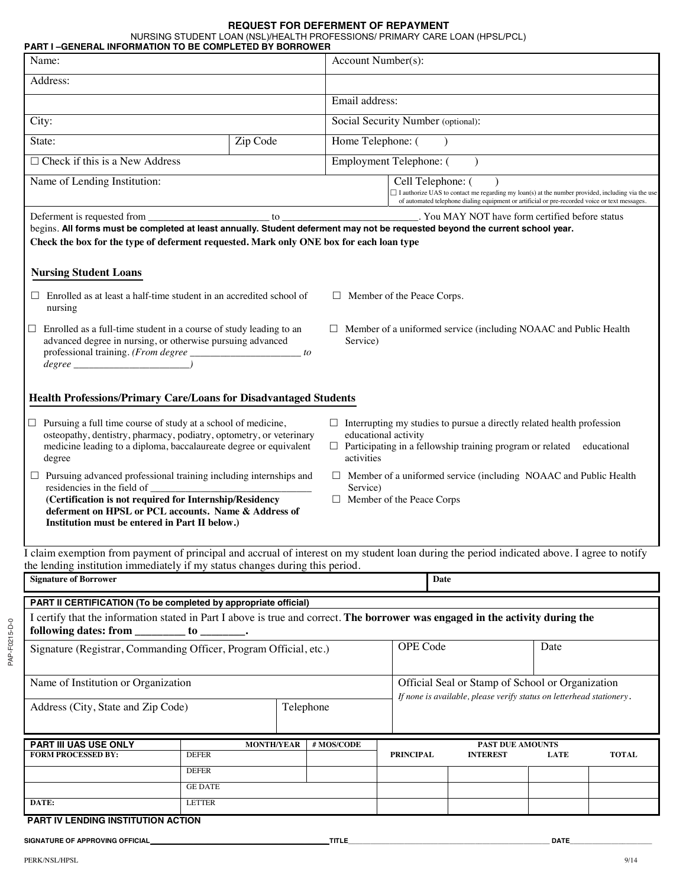#### **REQUEST FOR DEFERMENT OF REPAYMENT**

NURSING STUDENT LOAN (NSL)/HEALTH PROFESSIONS/ PRIMARY CARE LOAN (HPSL/PCL)

| <b>PART I-GENERAL INFORMATION TO BE COMPLETED BY BORROWER</b><br>Name:                                                                                                                                                    |                                                   |  |            | Account Number(s):                                                                  |                                                                                                                                                                                                           |             |              |  |
|---------------------------------------------------------------------------------------------------------------------------------------------------------------------------------------------------------------------------|---------------------------------------------------|--|------------|-------------------------------------------------------------------------------------|-----------------------------------------------------------------------------------------------------------------------------------------------------------------------------------------------------------|-------------|--------------|--|
| Address:                                                                                                                                                                                                                  |                                                   |  |            |                                                                                     |                                                                                                                                                                                                           |             |              |  |
|                                                                                                                                                                                                                           |                                                   |  |            | Email address:                                                                      |                                                                                                                                                                                                           |             |              |  |
| City:                                                                                                                                                                                                                     |                                                   |  |            | Social Security Number (optional):                                                  |                                                                                                                                                                                                           |             |              |  |
| Zip Code<br>State:                                                                                                                                                                                                        |                                                   |  |            | Home Telephone: (                                                                   |                                                                                                                                                                                                           |             |              |  |
| $\Box$ Check if this is a New Address                                                                                                                                                                                     |                                                   |  |            | Employment Telephone: (                                                             |                                                                                                                                                                                                           |             |              |  |
| Name of Lending Institution:                                                                                                                                                                                              |                                                   |  |            | Cell Telephone: (                                                                   |                                                                                                                                                                                                           |             |              |  |
|                                                                                                                                                                                                                           |                                                   |  |            |                                                                                     | $\Box$ I authorize UAS to contact me regarding my loan(s) at the number provided, including via the use<br>of automated telephone dialing equipment or artificial or pre-recorded voice or text messages. |             |              |  |
| begins. All forms must be completed at least annually. Student deferment may not be requested beyond the current school year.<br>Check the box for the type of deferment requested. Mark only ONE box for each loan type  |                                                   |  |            |                                                                                     |                                                                                                                                                                                                           |             |              |  |
| <b>Nursing Student Loans</b>                                                                                                                                                                                              |                                                   |  |            |                                                                                     |                                                                                                                                                                                                           |             |              |  |
| $\Box$ Enrolled as at least a half-time student in an accredited school of<br>nursing                                                                                                                                     |                                                   |  |            | $\Box$ Member of the Peace Corps.                                                   |                                                                                                                                                                                                           |             |              |  |
| Enrolled as a full-time student in a course of study leading to an<br>$\Box$<br>advanced degree in nursing, or otherwise pursuing advanced<br>professional training. (From degree _____________________ to<br>$degree \_$ |                                                   |  |            | $\Box$ Member of a uniformed service (including NOAAC and Public Health<br>Service) |                                                                                                                                                                                                           |             |              |  |
| Health Professions/Primary Care/Loans for Disadvantaged Students                                                                                                                                                          |                                                   |  |            |                                                                                     |                                                                                                                                                                                                           |             |              |  |
| Pursuing a full time course of study at a school of medicine,<br>Ц.<br>osteopathy, dentistry, pharmacy, podiatry, optometry, or veterinary<br>medicine leading to a diploma, baccalaureate degree or equivalent<br>degree |                                                   |  | activities | educational activity                                                                | $\Box$ Interrupting my studies to pursue a directly related health profession<br>$\Box$ Participating in a fellowship training program or related educational                                             |             |              |  |
| $\Box$ Pursuing advanced professional training including internships and<br>residencies in the field of<br>deferment on HPSL or PCL accounts. Name & Address of<br>Institution must be entered in Part II below.)         |                                                   |  | Service)   | $\Box$ Member of the Peace Corps                                                    | $\Box$ Member of a uniformed service (including NOAAC and Public Health                                                                                                                                   |             |              |  |
| I claim exemption from payment of principal and accrual of interest on my student loan during the period indicated above. I agree to notify                                                                               |                                                   |  |            |                                                                                     |                                                                                                                                                                                                           |             |              |  |
| the lending institution immediately if my status changes during this period.<br><b>Signature of Borrower</b><br><b>Date</b>                                                                                               |                                                   |  |            |                                                                                     |                                                                                                                                                                                                           |             |              |  |
| PART II CERTIFICATION (To be completed by appropriate official)                                                                                                                                                           |                                                   |  |            |                                                                                     |                                                                                                                                                                                                           |             |              |  |
| I certify that the information stated in Part I above is true and correct. The borrower was engaged in the activity during the                                                                                            |                                                   |  |            |                                                                                     |                                                                                                                                                                                                           |             |              |  |
| following dates: from _                                                                                                                                                                                                   | $\frac{1}{\sqrt{1-\frac{1}{2}}}\cdot \frac{1}{2}$ |  |            |                                                                                     |                                                                                                                                                                                                           |             |              |  |
| Signature (Registrar, Commanding Officer, Program Official, etc.)                                                                                                                                                         |                                                   |  |            | OPE Code                                                                            |                                                                                                                                                                                                           |             | Date         |  |
| Name of Institution or Organization                                                                                                                                                                                       |                                                   |  |            |                                                                                     | Official Seal or Stamp of School or Organization<br>If none is available, please verify status on letterhead stationery.                                                                                  |             |              |  |
| Address (City, State and Zip Code)<br>Telephone                                                                                                                                                                           |                                                   |  |            |                                                                                     |                                                                                                                                                                                                           |             |              |  |
| PART III UAS USE ONLY                                                                                                                                                                                                     | <b>MONTH/YEAR</b>                                 |  | # MOS/CODE |                                                                                     | <b>PAST DUE AMOUNTS</b>                                                                                                                                                                                   |             |              |  |
| FORM PROCESSED BY:                                                                                                                                                                                                        | <b>DEFER</b>                                      |  |            | <b>PRINCIPAL</b>                                                                    | <b>INTEREST</b>                                                                                                                                                                                           | <b>LATE</b> | <b>TOTAL</b> |  |
|                                                                                                                                                                                                                           | <b>DEFER</b><br><b>GE DATE</b>                    |  |            |                                                                                     |                                                                                                                                                                                                           |             |              |  |
| DATE:                                                                                                                                                                                                                     | <b>LETTER</b>                                     |  |            |                                                                                     |                                                                                                                                                                                                           |             |              |  |
| PART IV LENDING INSTITUTION ACTION                                                                                                                                                                                        |                                                   |  |            |                                                                                     |                                                                                                                                                                                                           |             |              |  |

**SIGNATURE OF APPROVING OFFICIAL \_\_\_\_\_\_\_\_\_\_\_\_\_\_\_\_\_\_\_\_\_\_\_\_\_\_\_\_\_\_\_\_\_\_\_\_\_\_\_\_\_\_\_\_\_\_\_ TITLE\_\_\_\_\_\_\_\_\_\_\_\_\_\_\_\_\_\_\_\_\_\_\_\_\_\_\_\_\_\_\_\_\_\_\_\_\_\_\_\_\_\_\_\_\_\_\_\_\_\_\_\_\_\_ DATE\_\_\_\_\_\_\_\_\_\_\_\_\_\_\_\_\_\_\_\_\_\_**

PAP-F0215-D-0

PAP-F0215-D-0